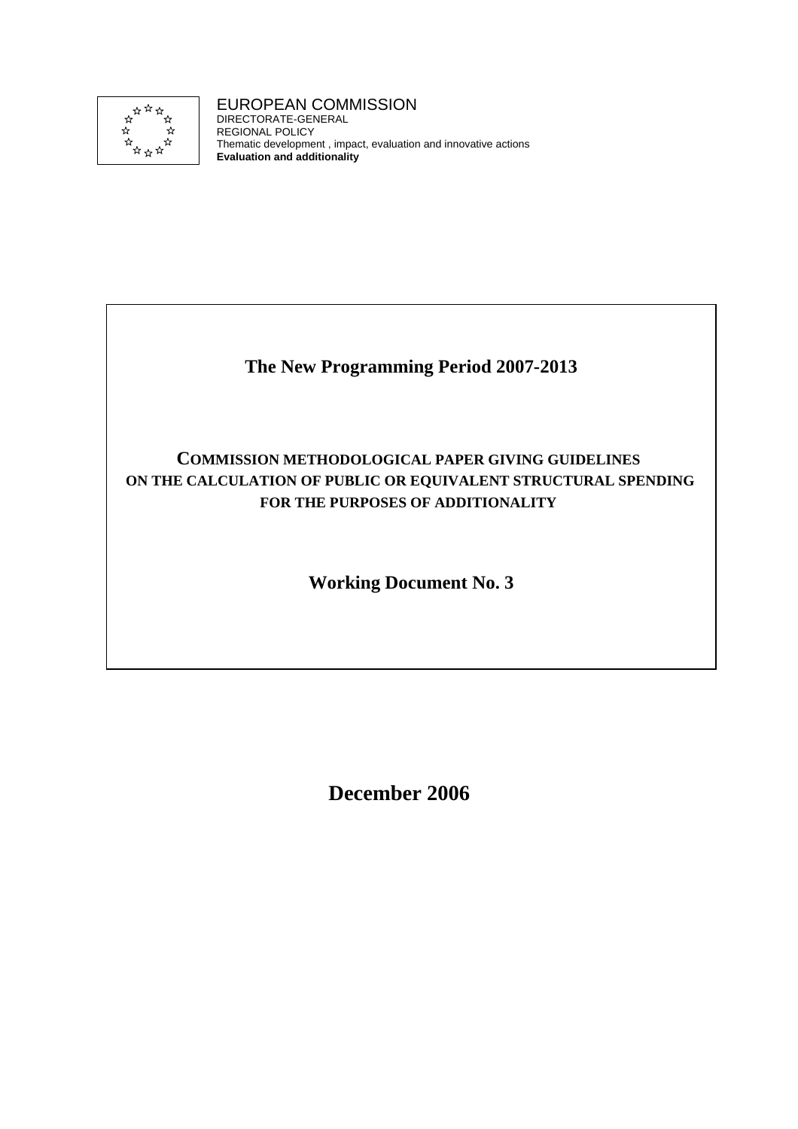

### EUROPEAN COMMISSION

DIRECTORATE-GENERAL REGIONAL POLICY Thematic development , impact, evaluation and innovative actions **Evaluation and additionality**

### **The New Programming Period 2007-2013**

### **COMMISSION METHODOLOGICAL PAPER GIVING GUIDELINES ON THE CALCULATION OF PUBLIC OR EQUIVALENT STRUCTURAL SPENDING FOR THE PURPOSES OF ADDITIONALITY**

**Working Document No. 3** 

**December 2006**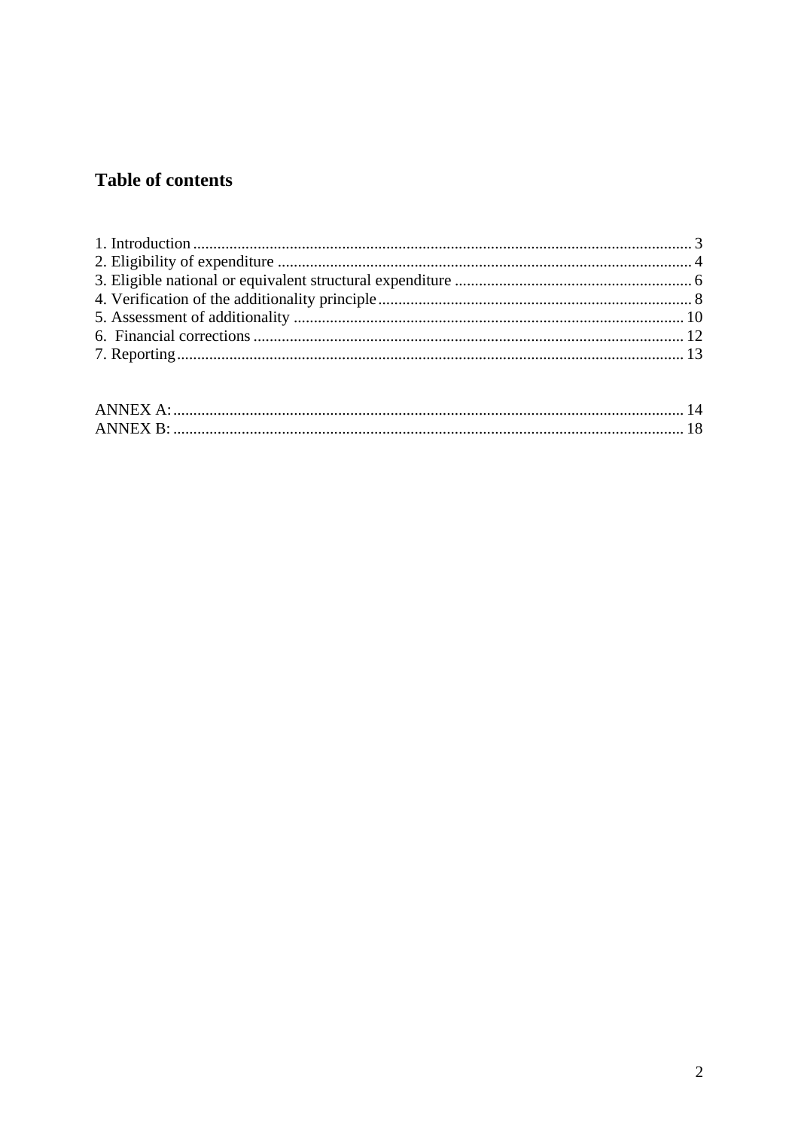## **Table of contents**

| ANNEX A:        |  |
|-----------------|--|
| <b>ANNEX B:</b> |  |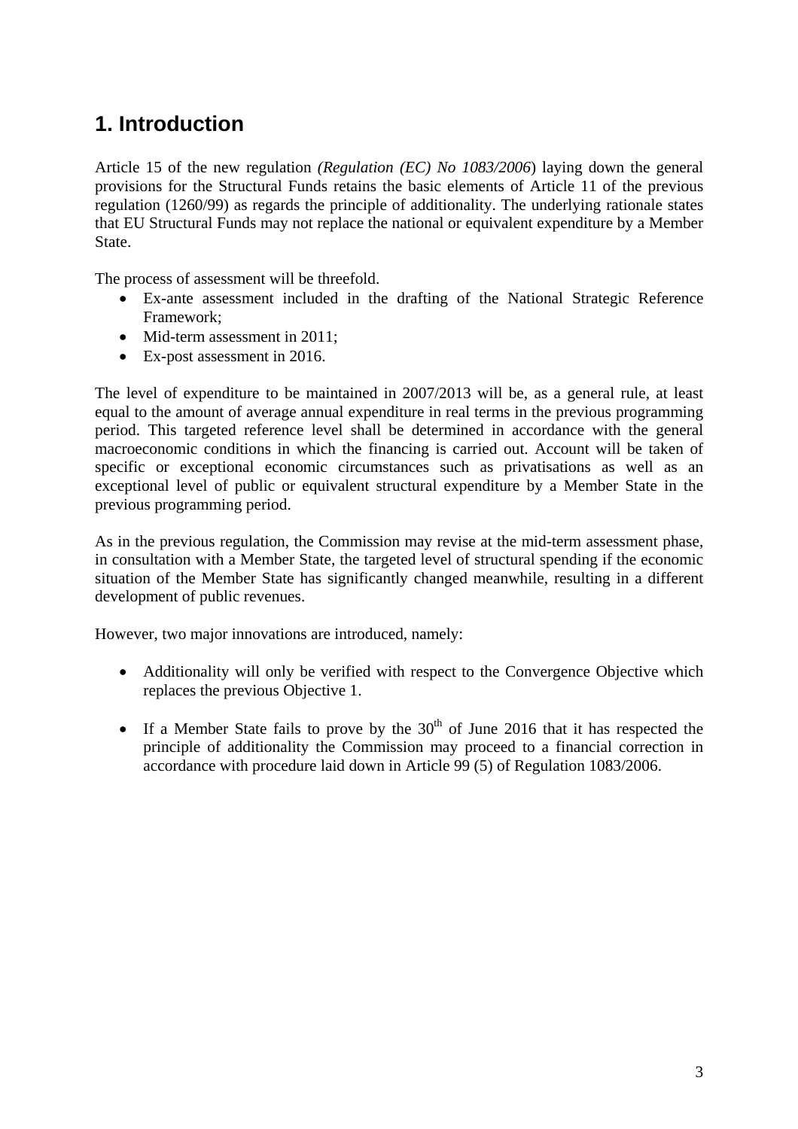# <span id="page-2-0"></span>**1. Introduction**

Article 15 of the new regulation *(Regulation (EC) No 1083/2006*) laying down the general provisions for the Structural Funds retains the basic elements of Article 11 of the previous regulation (1260/99) as regards the principle of additionality. The underlying rationale states that EU Structural Funds may not replace the national or equivalent expenditure by a Member State.

The process of assessment will be threefold.

- Ex-ante assessment included in the drafting of the National Strategic Reference Framework;
- Mid-term assessment in 2011;
- Ex-post assessment in 2016.

The level of expenditure to be maintained in 2007/2013 will be, as a general rule, at least equal to the amount of average annual expenditure in real terms in the previous programming period. This targeted reference level shall be determined in accordance with the general macroeconomic conditions in which the financing is carried out. Account will be taken of specific or exceptional economic circumstances such as privatisations as well as an exceptional level of public or equivalent structural expenditure by a Member State in the previous programming period.

As in the previous regulation, the Commission may revise at the mid-term assessment phase, in consultation with a Member State, the targeted level of structural spending if the economic situation of the Member State has significantly changed meanwhile, resulting in a different development of public revenues.

However, two major innovations are introduced, namely:

- Additionality will only be verified with respect to the Convergence Objective which replaces the previous Objective 1.
- If a Member State fails to prove by the  $30<sup>th</sup>$  of June 2016 that it has respected the principle of additionality the Commission may proceed to a financial correction in accordance with procedure laid down in Article 99 (5) of Regulation 1083/2006.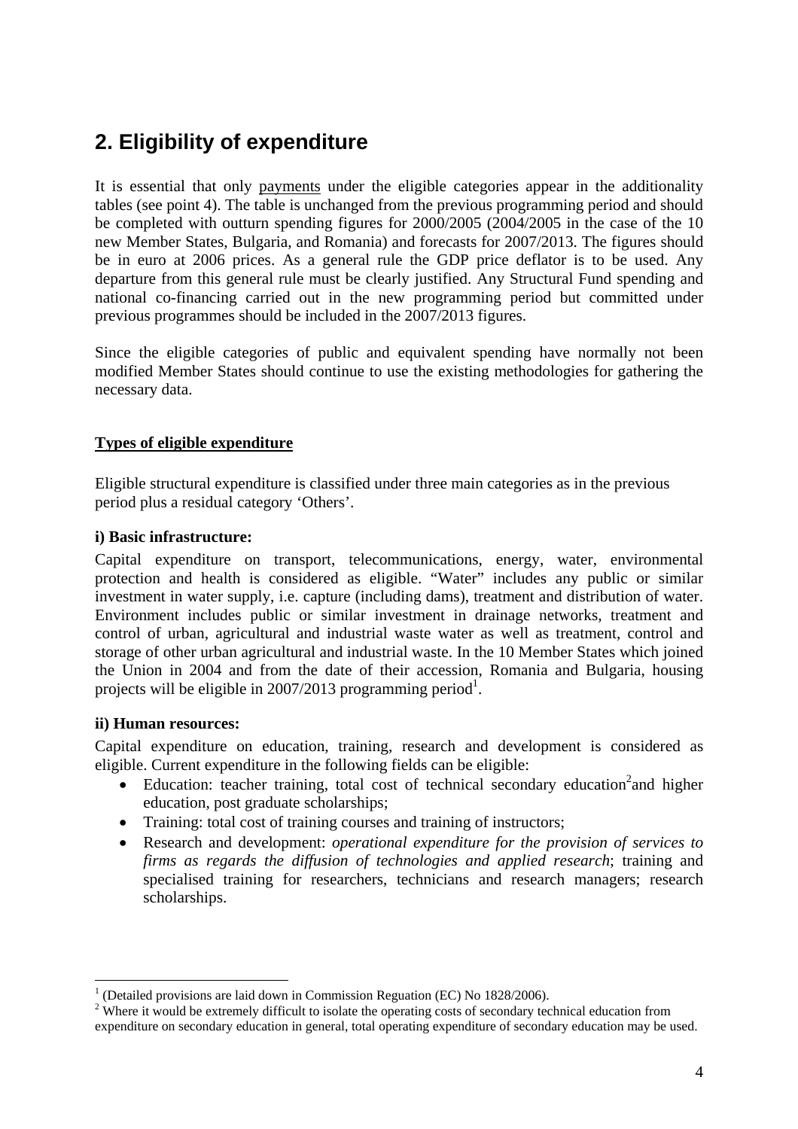# <span id="page-3-0"></span>**2. Eligibility of expenditure**

It is essential that only payments under the eligible categories appear in the additionality tables (see point 4). The table is unchanged from the previous programming period and should be completed with outturn spending figures for 2000/2005 (2004/2005 in the case of the 10 new Member States, Bulgaria, and Romania) and forecasts for 2007/2013. The figures should be in euro at 2006 prices. As a general rule the GDP price deflator is to be used. Any departure from this general rule must be clearly justified. Any Structural Fund spending and national co-financing carried out in the new programming period but committed under previous programmes should be included in the 2007/2013 figures.

Since the eligible categories of public and equivalent spending have normally not been modified Member States should continue to use the existing methodologies for gathering the necessary data.

#### **Types of eligible expenditure**

Eligible structural expenditure is classified under three main categories as in the previous period plus a residual category 'Others'.

#### **i) Basic infrastructure:**

Capital expenditure on transport, telecommunications, energy, water, environmental protection and health is considered as eligible. "Water" includes any public or similar investment in water supply, i.e. capture (including dams), treatment and distribution of water. Environment includes public or similar investment in drainage networks, treatment and control of urban, agricultural and industrial waste water as well as treatment, control and storage of other urban agricultural and industrial waste. In the 10 Member States which joined the Union in 2004 and from the date of their accession, Romania and Bulgaria, housing projects will be eligible in 2007/2013 programming period<sup>1</sup>.

#### **ii) Human resources:**

1

Capital expenditure on education, training, research and development is considered as eligible. Current expenditure in the following fields can be eligible:

- Education: teacher training, total cost of technical secondary education<sup>2</sup> and higher education, post graduate scholarships;
- Training: total cost of training courses and training of instructors;
- Research and development: *operational expenditure for the provision of services to firms as regards the diffusion of technologies and applied research*; training and specialised training for researchers, technicians and research managers; research scholarships.

 $1$  (Detailed provisions are laid down in Commission Reguation (EC) No 1828/2006).

<sup>&</sup>lt;sup>2</sup> Where it would be extremely difficult to isolate the operating costs of secondary technical education from expenditure on secondary education in general, total operating expenditure of secondary education may be used.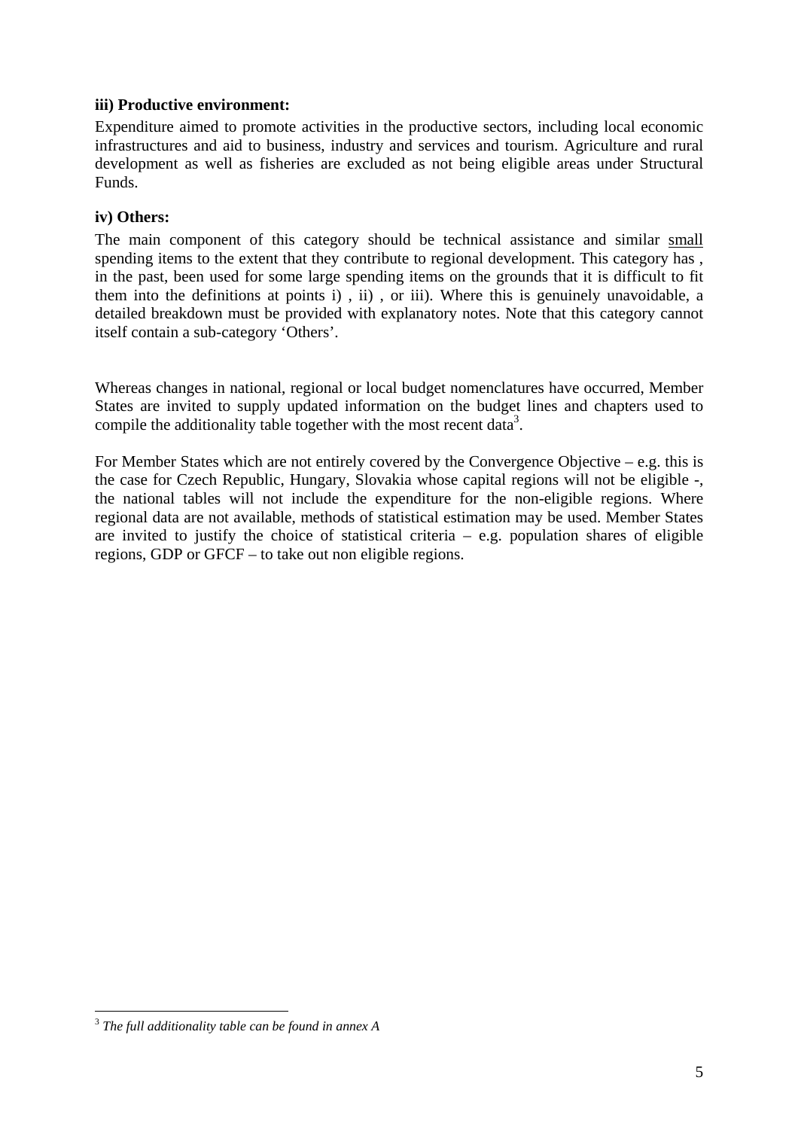#### **iii) Productive environment:**

Expenditure aimed to promote activities in the productive sectors, including local economic infrastructures and aid to business, industry and services and tourism. Agriculture and rural development as well as fisheries are excluded as not being eligible areas under Structural Funds.

#### **iv) Others:**

The main component of this category should be technical assistance and similar small spending items to the extent that they contribute to regional development. This category has , in the past, been used for some large spending items on the grounds that it is difficult to fit them into the definitions at points i) , ii) , or iii). Where this is genuinely unavoidable, a detailed breakdown must be provided with explanatory notes. Note that this category cannot itself contain a sub-category 'Others'.

Whereas changes in national, regional or local budget nomenclatures have occurred, Member States are invited to supply updated information on the budget lines and chapters used to compile the additionality table together with the most recent data<sup>3</sup>.

For Member States which are not entirely covered by the Convergence Objective – e.g. this is the case for Czech Republic, Hungary, Slovakia whose capital regions will not be eligible -, the national tables will not include the expenditure for the non-eligible regions. Where regional data are not available, methods of statistical estimation may be used. Member States are invited to justify the choice of statistical criteria  $-$  e.g. population shares of eligible regions, GDP or GFCF – to take out non eligible regions.

1

<sup>3</sup> *The full additionality table can be found in annex A*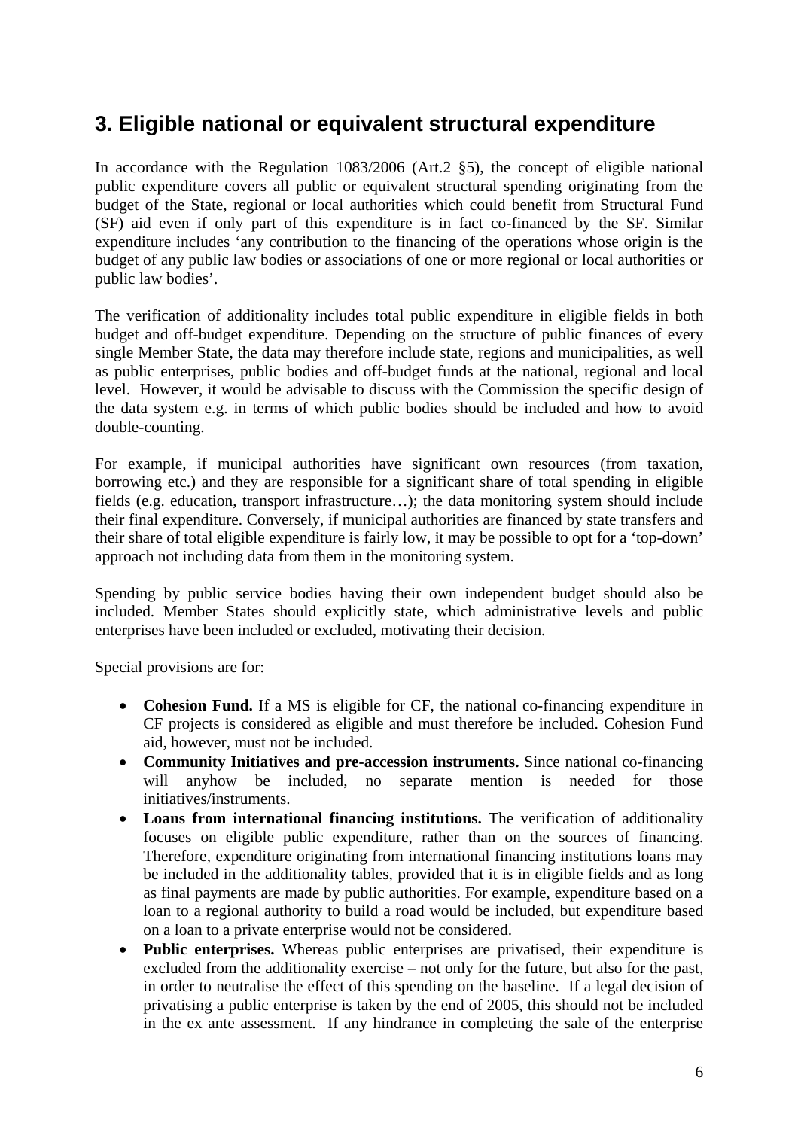## <span id="page-5-0"></span>**3. Eligible national or equivalent structural expenditure**

In accordance with the Regulation 1083/2006 (Art.2 §5), the concept of eligible national public expenditure covers all public or equivalent structural spending originating from the budget of the State, regional or local authorities which could benefit from Structural Fund (SF) aid even if only part of this expenditure is in fact co-financed by the SF. Similar expenditure includes 'any contribution to the financing of the operations whose origin is the budget of any public law bodies or associations of one or more regional or local authorities or public law bodies'.

The verification of additionality includes total public expenditure in eligible fields in both budget and off-budget expenditure. Depending on the structure of public finances of every single Member State, the data may therefore include state, regions and municipalities, as well as public enterprises, public bodies and off-budget funds at the national, regional and local level. However, it would be advisable to discuss with the Commission the specific design of the data system e.g. in terms of which public bodies should be included and how to avoid double-counting.

For example, if municipal authorities have significant own resources (from taxation, borrowing etc.) and they are responsible for a significant share of total spending in eligible fields (e.g. education, transport infrastructure…); the data monitoring system should include their final expenditure. Conversely, if municipal authorities are financed by state transfers and their share of total eligible expenditure is fairly low, it may be possible to opt for a 'top-down' approach not including data from them in the monitoring system.

Spending by public service bodies having their own independent budget should also be included. Member States should explicitly state, which administrative levels and public enterprises have been included or excluded, motivating their decision.

Special provisions are for:

- **Cohesion Fund.** If a MS is eligible for CF, the national co-financing expenditure in CF projects is considered as eligible and must therefore be included. Cohesion Fund aid, however, must not be included.
- **Community Initiatives and pre-accession instruments.** Since national co-financing will anyhow be included, no separate mention is needed for those initiatives/instruments.
- **Loans from international financing institutions.** The verification of additionality focuses on eligible public expenditure, rather than on the sources of financing. Therefore, expenditure originating from international financing institutions loans may be included in the additionality tables, provided that it is in eligible fields and as long as final payments are made by public authorities. For example, expenditure based on a loan to a regional authority to build a road would be included, but expenditure based on a loan to a private enterprise would not be considered.
- **Public enterprises.** Whereas public enterprises are privatised, their expenditure is excluded from the additionality exercise – not only for the future, but also for the past, in order to neutralise the effect of this spending on the baseline. If a legal decision of privatising a public enterprise is taken by the end of 2005, this should not be included in the ex ante assessment. If any hindrance in completing the sale of the enterprise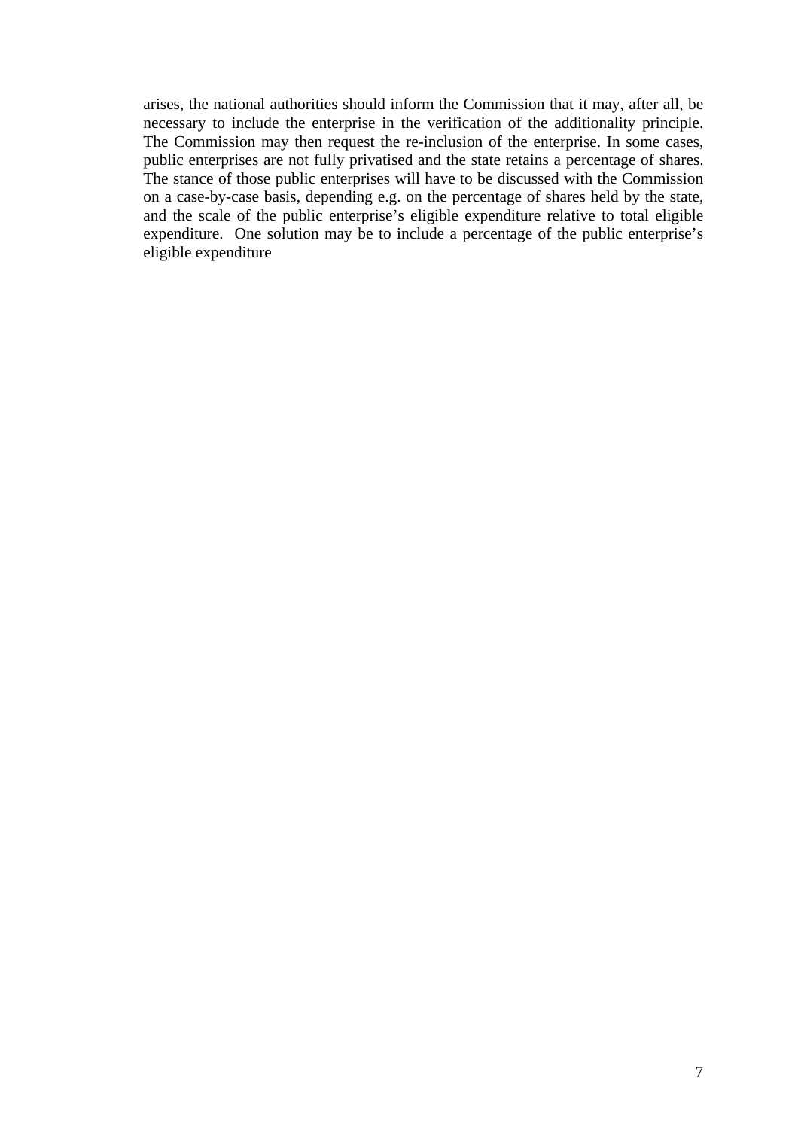arises, the national authorities should inform the Commission that it may, after all, be necessary to include the enterprise in the verification of the additionality principle. The Commission may then request the re-inclusion of the enterprise. In some cases, public enterprises are not fully privatised and the state retains a percentage of shares. The stance of those public enterprises will have to be discussed with the Commission on a case-by-case basis, depending e.g. on the percentage of shares held by the state, and the scale of the public enterprise's eligible expenditure relative to total eligible expenditure. One solution may be to include a percentage of the public enterprise's eligible expenditure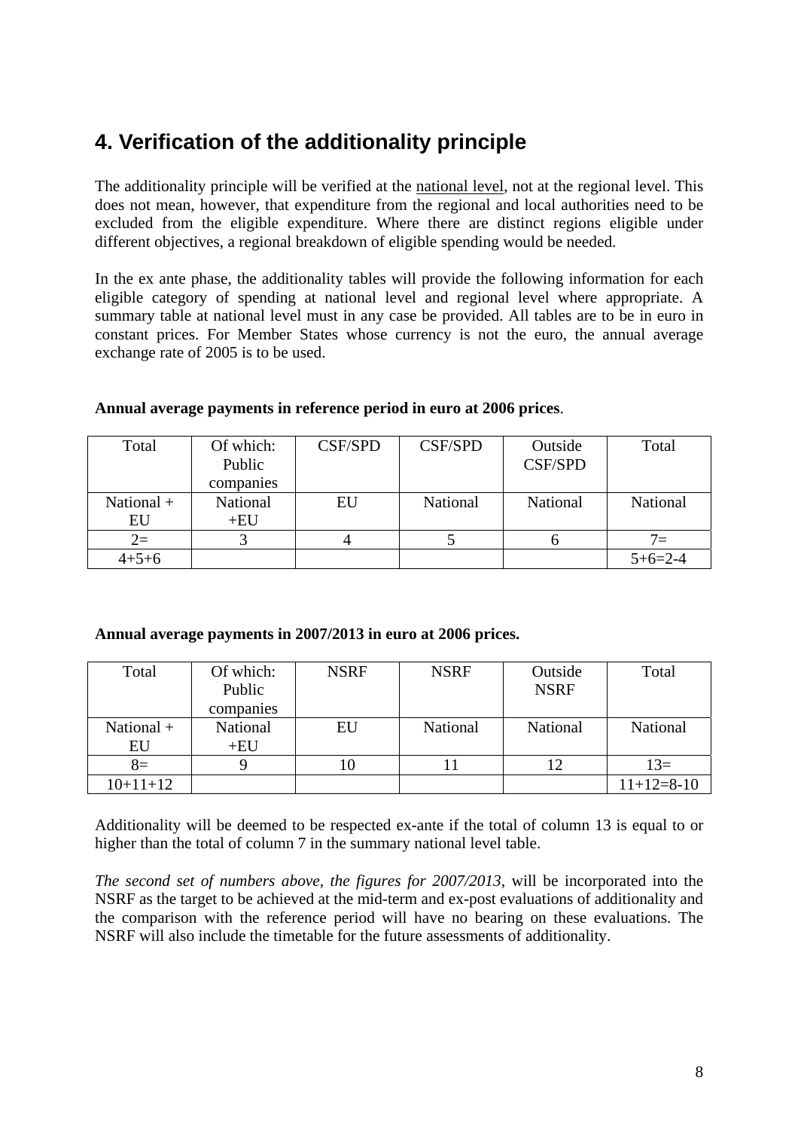# <span id="page-7-0"></span>**4. Verification of the additionality principle**

The additionality principle will be verified at the national level, not at the regional level. This does not mean, however, that expenditure from the regional and local authorities need to be excluded from the eligible expenditure. Where there are distinct regions eligible under different objectives, a regional breakdown of eligible spending would be needed.

In the ex ante phase, the additionality tables will provide the following information for each eligible category of spending at national level and regional level where appropriate. A summary table at national level must in any case be provided. All tables are to be in euro in constant prices. For Member States whose currency is not the euro, the annual average exchange rate of 2005 is to be used.

| Total        | Of which: | <b>CSF/SPD</b> | <b>CSF/SPD</b> | Outside        | Total     |
|--------------|-----------|----------------|----------------|----------------|-----------|
|              | Public    |                |                | <b>CSF/SPD</b> |           |
|              | companies |                |                |                |           |
| National $+$ | National  | EU             | National       | National       | National  |
| EU           | $+EU$     |                |                |                |           |
| $2=$         |           |                |                |                | $7 =$     |
| $4 + 5 + 6$  |           |                |                |                | $5+6=2-4$ |

#### **Annual average payments in reference period in euro at 2006 prices**.

#### **Annual average payments in 2007/2013 in euro at 2006 prices.**

| Total        | Of which: | <b>NSRF</b> | <b>NSRF</b> | Outside     | Total        |
|--------------|-----------|-------------|-------------|-------------|--------------|
|              | Public    |             |             | <b>NSRF</b> |              |
|              | companies |             |             |             |              |
| National $+$ | National  | EU          | National    | National    | National     |
| EU           | $+EU$     |             |             |             |              |
| $8=$         |           |             |             | 12          | $13=$        |
| $10+11+12$   |           |             |             |             | $11+12=8-10$ |

Additionality will be deemed to be respected ex-ante if the total of column 13 is equal to or higher than the total of column 7 in the summary national level table.

*The second set of numbers above, the figures for 2007/2013*, will be incorporated into the NSRF as the target to be achieved at the mid-term and ex-post evaluations of additionality and the comparison with the reference period will have no bearing on these evaluations. The NSRF will also include the timetable for the future assessments of additionality.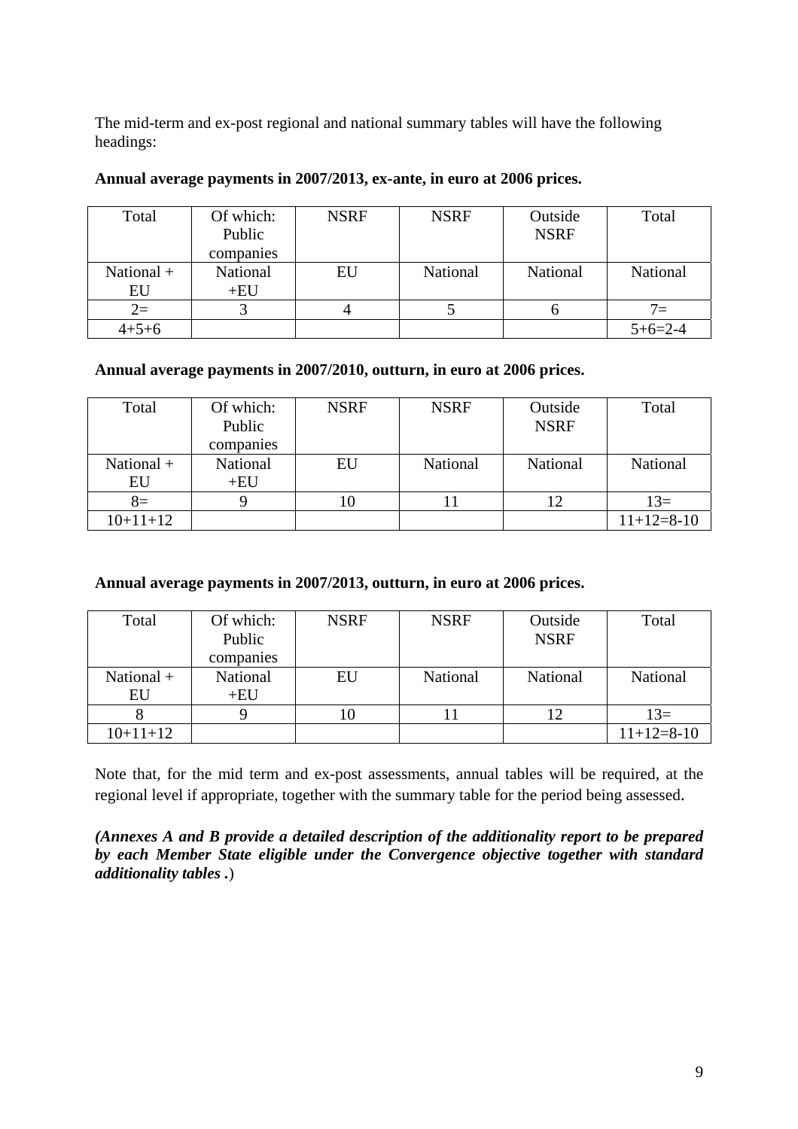The mid-term and ex-post regional and national summary tables will have the following headings:

| Total        | Of which:<br>Public<br>companies | <b>NSRF</b> | <b>NSRF</b> | Outside<br><b>NSRF</b> | Total     |
|--------------|----------------------------------|-------------|-------------|------------------------|-----------|
| National $+$ | National<br>$+EU$                | EU          | National    | National               | National  |
| EU           |                                  |             |             |                        |           |
| $2=$         |                                  |             |             | O                      | $7 =$     |
| $4 + 5 + 6$  |                                  |             |             |                        | $5+6=2-4$ |

#### **Annual average payments in 2007/2013, ex-ante, in euro at 2006 prices.**

#### **Annual average payments in 2007/2010, outturn, in euro at 2006 prices.**

| Total              | Of which:<br>Public<br>companies | <b>NSRF</b> | <b>NSRF</b> | Outside<br><b>NSRF</b> | Total        |
|--------------------|----------------------------------|-------------|-------------|------------------------|--------------|
| National $+$<br>EU | National<br>$+EU$                | EU          | National    | National               | National     |
| $8=$               |                                  | 10          |             |                        | $13=$        |
| $10+11+12$         |                                  |             |             |                        | $11+12=8-10$ |

**Annual average payments in 2007/2013, outturn, in euro at 2006 prices.** 

| Total        | Of which: | <b>NSRF</b> | <b>NSRF</b> | Outside     | Total        |
|--------------|-----------|-------------|-------------|-------------|--------------|
|              | Public    |             |             | <b>NSRF</b> |              |
|              | companies |             |             |             |              |
| National $+$ | National  | EU          | National    | National    | National     |
| EU           | $+EU$     |             |             |             |              |
|              |           |             |             |             | $13=$        |
| $10+11+12$   |           |             |             |             | $11+12=8-10$ |

Note that, for the mid term and ex-post assessments, annual tables will be required, at the regional level if appropriate, together with the summary table for the period being assessed.

*(Annexes A and B provide a detailed description of the additionality report to be prepared by each Member State eligible under the Convergence objective together with standard additionality tables .*)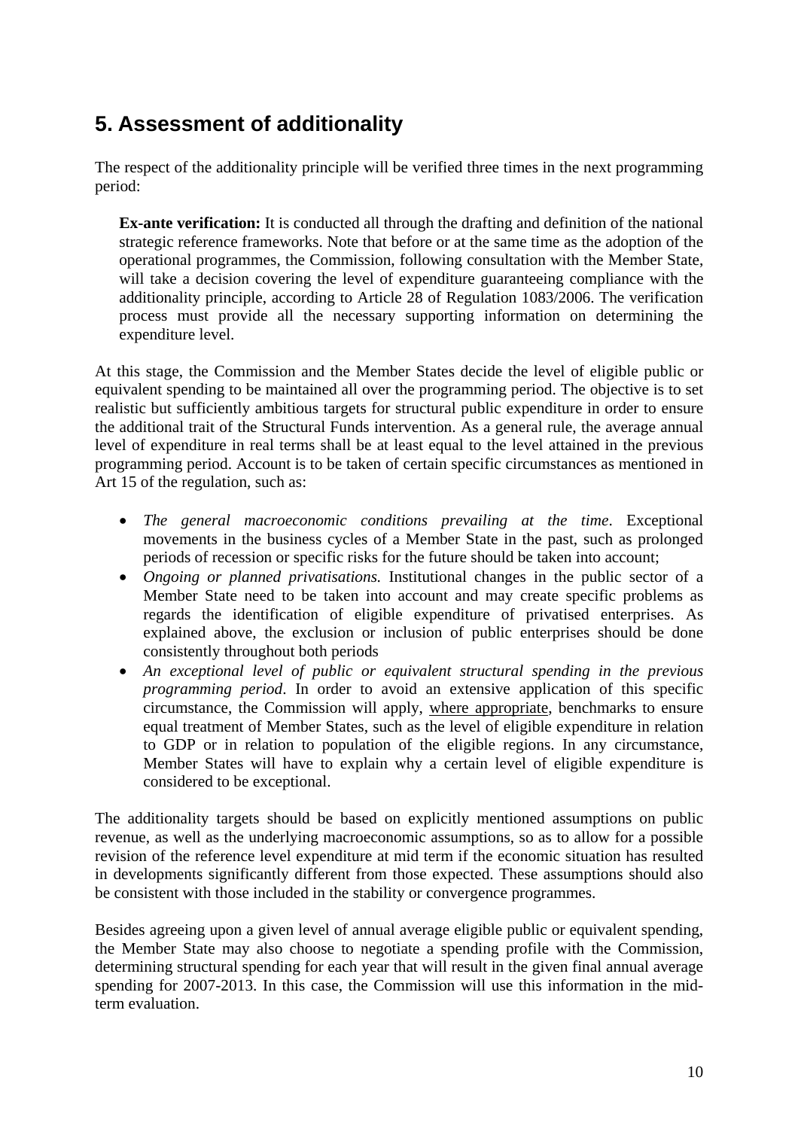# <span id="page-9-0"></span>**5. Assessment of additionality**

The respect of the additionality principle will be verified three times in the next programming period:

**Ex-ante verification:** It is conducted all through the drafting and definition of the national strategic reference frameworks. Note that before or at the same time as the adoption of the operational programmes, the Commission, following consultation with the Member State, will take a decision covering the level of expenditure guaranteeing compliance with the additionality principle, according to Article 28 of Regulation 1083/2006. The verification process must provide all the necessary supporting information on determining the expenditure level.

At this stage, the Commission and the Member States decide the level of eligible public or equivalent spending to be maintained all over the programming period. The objective is to set realistic but sufficiently ambitious targets for structural public expenditure in order to ensure the additional trait of the Structural Funds intervention. As a general rule, the average annual level of expenditure in real terms shall be at least equal to the level attained in the previous programming period. Account is to be taken of certain specific circumstances as mentioned in Art 15 of the regulation, such as:

- *The general macroeconomic conditions prevailing at the time*. Exceptional movements in the business cycles of a Member State in the past, such as prolonged periods of recession or specific risks for the future should be taken into account;
- *Ongoing or planned privatisations.* Institutional changes in the public sector of a Member State need to be taken into account and may create specific problems as regards the identification of eligible expenditure of privatised enterprises. As explained above, the exclusion or inclusion of public enterprises should be done consistently throughout both periods
- *An exceptional level of public or equivalent structural spending in the previous programming period*. In order to avoid an extensive application of this specific circumstance, the Commission will apply, where appropriate, benchmarks to ensure equal treatment of Member States, such as the level of eligible expenditure in relation to GDP or in relation to population of the eligible regions. In any circumstance, Member States will have to explain why a certain level of eligible expenditure is considered to be exceptional.

The additionality targets should be based on explicitly mentioned assumptions on public revenue, as well as the underlying macroeconomic assumptions, so as to allow for a possible revision of the reference level expenditure at mid term if the economic situation has resulted in developments significantly different from those expected. These assumptions should also be consistent with those included in the stability or convergence programmes.

Besides agreeing upon a given level of annual average eligible public or equivalent spending, the Member State may also choose to negotiate a spending profile with the Commission, determining structural spending for each year that will result in the given final annual average spending for 2007-2013. In this case, the Commission will use this information in the midterm evaluation.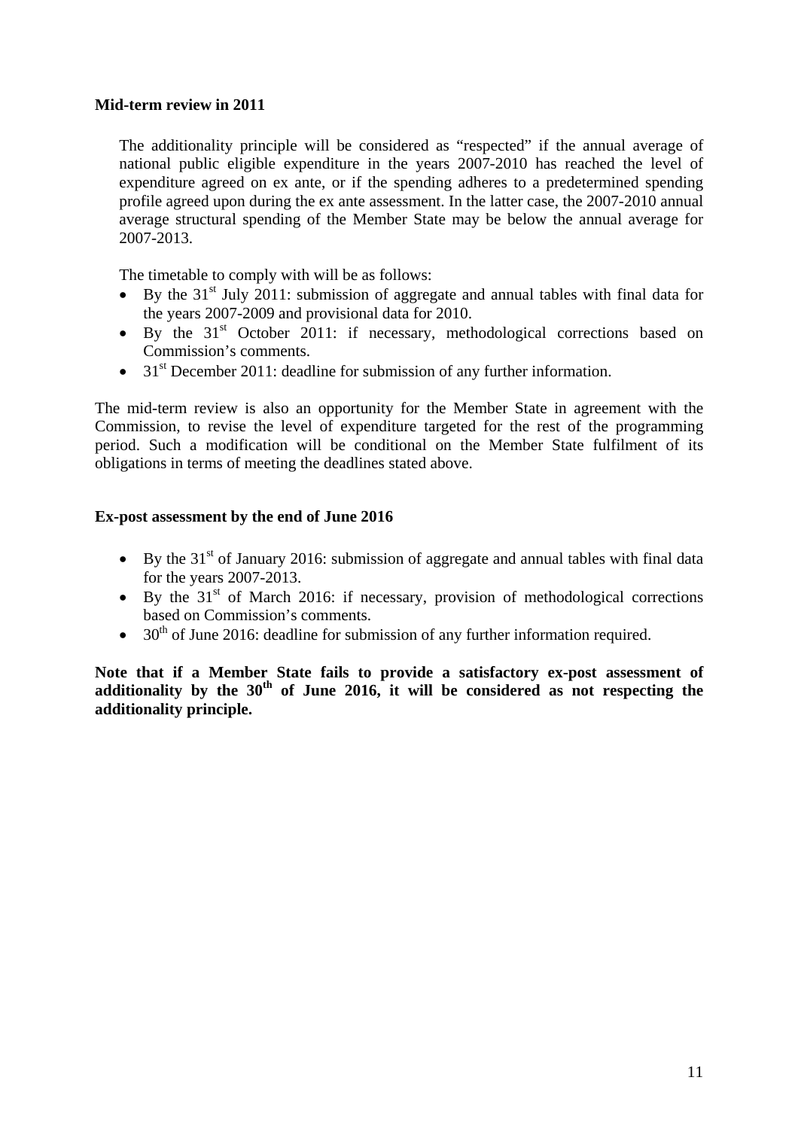#### **Mid-term review in 2011**

The additionality principle will be considered as "respected" if the annual average of national public eligible expenditure in the years 2007-2010 has reached the level of expenditure agreed on ex ante, or if the spending adheres to a predetermined spending profile agreed upon during the ex ante assessment. In the latter case, the 2007-2010 annual average structural spending of the Member State may be below the annual average for 2007-2013.

The timetable to comply with will be as follows:

- By the  $31<sup>st</sup>$  July 2011: submission of aggregate and annual tables with final data for the years 2007-2009 and provisional data for 2010.
- By the  $31<sup>st</sup>$  October 2011: if necessary, methodological corrections based on Commission's comments.
- $31<sup>st</sup>$  December 2011: deadline for submission of any further information.

The mid-term review is also an opportunity for the Member State in agreement with the Commission, to revise the level of expenditure targeted for the rest of the programming period. Such a modification will be conditional on the Member State fulfilment of its obligations in terms of meeting the deadlines stated above.

#### **Ex-post assessment by the end of June 2016**

- By the  $31<sup>st</sup>$  of January 2016: submission of aggregate and annual tables with final data for the years 2007-2013.
- By the  $31<sup>st</sup>$  of March 2016: if necessary, provision of methodological corrections based on Commission's comments.
- $30<sup>th</sup>$  of June 2016: deadline for submission of any further information required.

**Note that if a Member State fails to provide a satisfactory ex-post assessment of**  additionality by the 30<sup>th</sup> of June 2016, it will be considered as not respecting the **additionality principle.**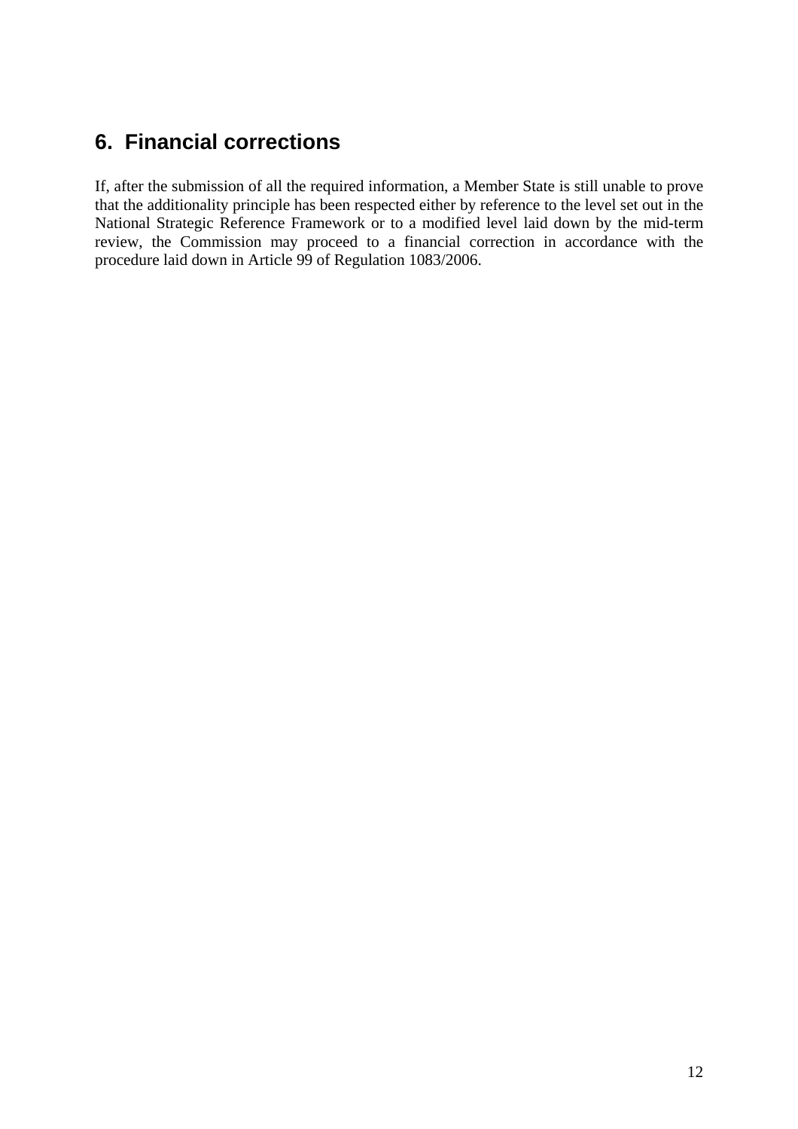## <span id="page-11-0"></span>**6. Financial corrections**

If, after the submission of all the required information, a Member State is still unable to prove that the additionality principle has been respected either by reference to the level set out in the National Strategic Reference Framework or to a modified level laid down by the mid-term review, the Commission may proceed to a financial correction in accordance with the procedure laid down in Article 99 of Regulation 1083/2006.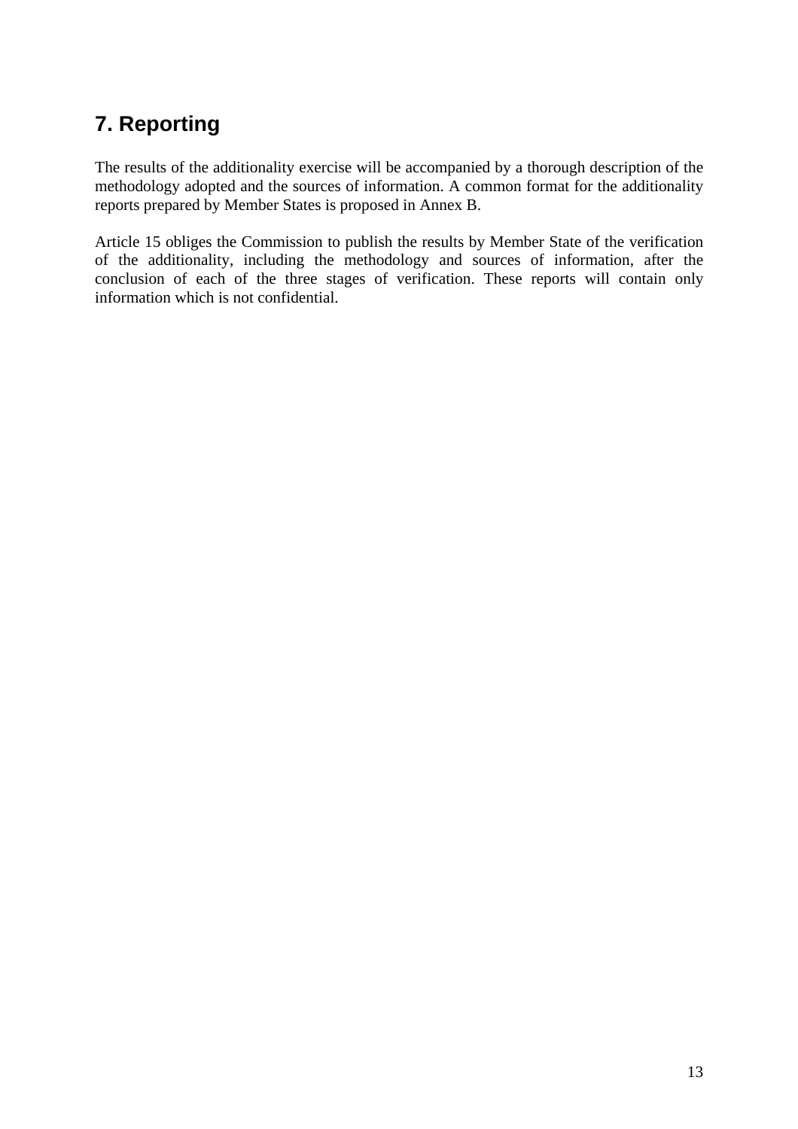# <span id="page-12-0"></span>**7. Reporting**

The results of the additionality exercise will be accompanied by a thorough description of the methodology adopted and the sources of information. A common format for the additionality reports prepared by Member States is proposed in Annex B.

Article 15 obliges the Commission to publish the results by Member State of the verification of the additionality, including the methodology and sources of information, after the conclusion of each of the three stages of verification. These reports will contain only information which is not confidential.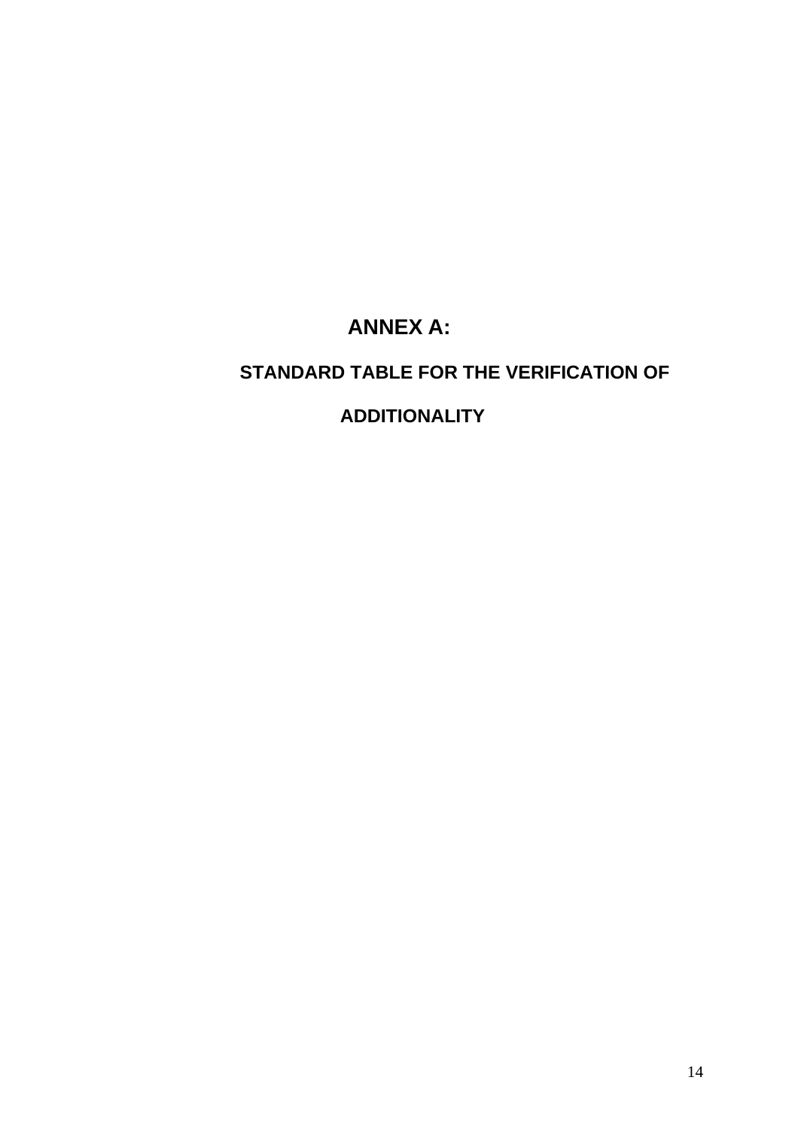# **ANNEX A:**

## <span id="page-13-0"></span>**STANDARD TABLE FOR THE VERIFICATION OF**

## **ADDITIONALITY**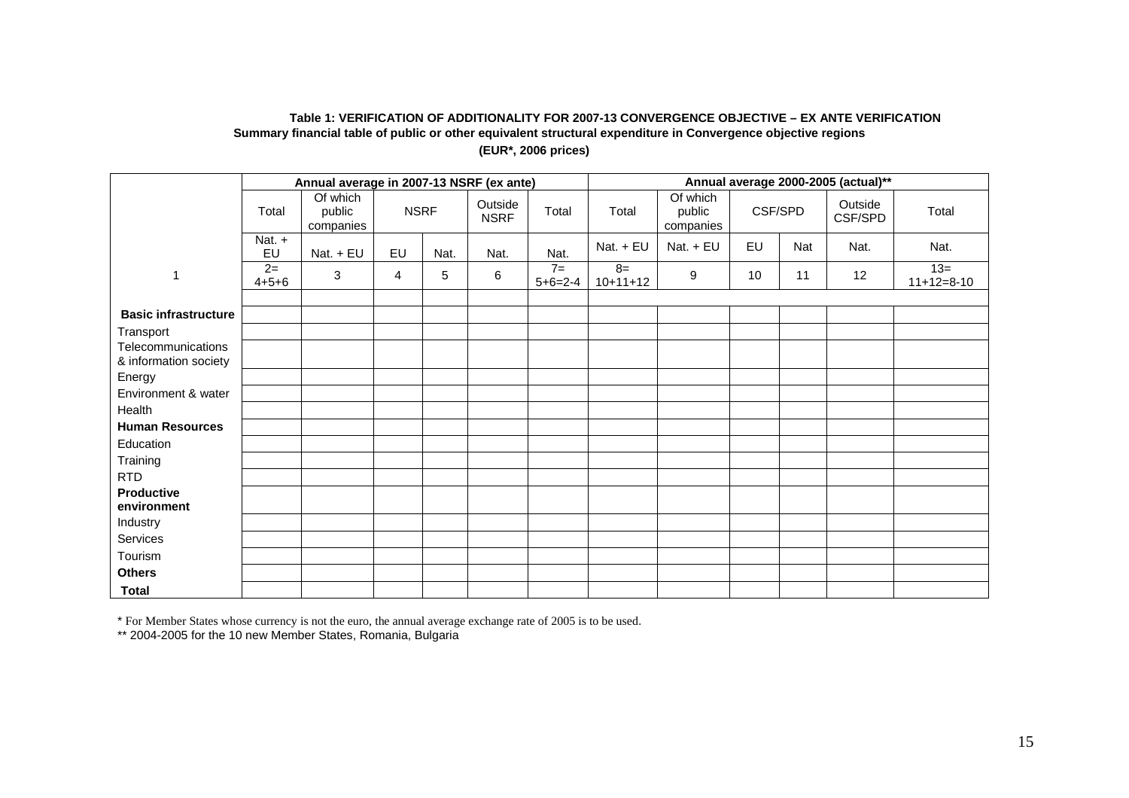#### **Table 1: VERIFICATION OF ADDITIONALITY FOR 2007-13 CONVERGENCE OBJECTIVE – EX ANTE VERIFICATION Summary financial table of public or other equivalent structural expenditure in Convergence objective regions (EUR\*, 2006 prices)**

|                                             |                     | Annual average in 2007-13 NSRF (ex ante) |                |             |                        |                   | Annual average 2000-2005 (actual)** |                                 |    |         |                    |                       |
|---------------------------------------------|---------------------|------------------------------------------|----------------|-------------|------------------------|-------------------|-------------------------------------|---------------------------------|----|---------|--------------------|-----------------------|
|                                             | Total               | Of which<br>public<br>companies          |                | <b>NSRF</b> | Outside<br><b>NSRF</b> | Total             | Total                               | Of which<br>public<br>companies |    | CSF/SPD | Outside<br>CSF/SPD | Total                 |
|                                             | Nat. +<br>EU        | Nat. + EU                                | EU             | Nat.        | Nat.                   | Nat.              | Nat. + EU                           | Nat. + EU                       | EU | Nat     | Nat.               | Nat.                  |
| -1                                          | $2=$<br>$4 + 5 + 6$ | $\mathbf{3}$                             | $\overline{4}$ | 5           | 6                      | $7=$<br>$5+6=2-4$ | $8=$<br>$10+11+12$                  | 9                               | 10 | 11      | 12                 | $13=$<br>$11+12=8-10$ |
|                                             |                     |                                          |                |             |                        |                   |                                     |                                 |    |         |                    |                       |
| <b>Basic infrastructure</b>                 |                     |                                          |                |             |                        |                   |                                     |                                 |    |         |                    |                       |
| Transport                                   |                     |                                          |                |             |                        |                   |                                     |                                 |    |         |                    |                       |
| Telecommunications<br>& information society |                     |                                          |                |             |                        |                   |                                     |                                 |    |         |                    |                       |
| Energy                                      |                     |                                          |                |             |                        |                   |                                     |                                 |    |         |                    |                       |
| Environment & water                         |                     |                                          |                |             |                        |                   |                                     |                                 |    |         |                    |                       |
| Health                                      |                     |                                          |                |             |                        |                   |                                     |                                 |    |         |                    |                       |
| <b>Human Resources</b>                      |                     |                                          |                |             |                        |                   |                                     |                                 |    |         |                    |                       |
| Education                                   |                     |                                          |                |             |                        |                   |                                     |                                 |    |         |                    |                       |
| Training                                    |                     |                                          |                |             |                        |                   |                                     |                                 |    |         |                    |                       |
| <b>RTD</b>                                  |                     |                                          |                |             |                        |                   |                                     |                                 |    |         |                    |                       |
| <b>Productive</b><br>environment            |                     |                                          |                |             |                        |                   |                                     |                                 |    |         |                    |                       |
| Industry                                    |                     |                                          |                |             |                        |                   |                                     |                                 |    |         |                    |                       |
| Services                                    |                     |                                          |                |             |                        |                   |                                     |                                 |    |         |                    |                       |
| Tourism                                     |                     |                                          |                |             |                        |                   |                                     |                                 |    |         |                    |                       |
| <b>Others</b>                               |                     |                                          |                |             |                        |                   |                                     |                                 |    |         |                    |                       |
| <b>Total</b>                                |                     |                                          |                |             |                        |                   |                                     |                                 |    |         |                    |                       |

\* For Member States whose currency is not the euro, the annual average exchange rate of 2005 is to be used.

\*\* 2004-2005 for the 10 new Member States, Romania, Bulgaria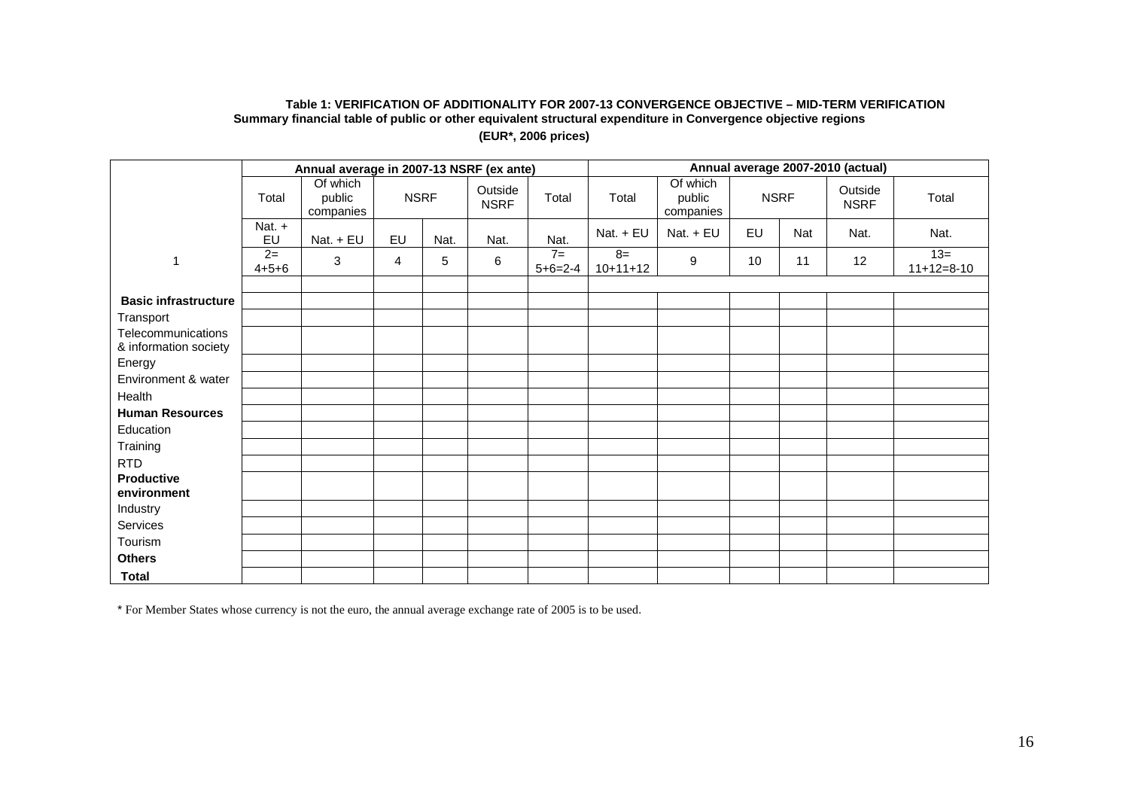#### **Table 1: VERIFICATION OF ADDITIONALITY FOR 2007-13 CONVERGENCE OBJECTIVE – MID-TERM VERIFICATION Summary financial table of public or other equivalent structural expenditure in Convergence objective regions (EUR\*, 2006 prices)**

|                                             |                     | Annual average in 2007-13 NSRF (ex ante) |             |      |                        |                   | Annual average 2007-2010 (actual) |                                 |    |             |                        |                       |
|---------------------------------------------|---------------------|------------------------------------------|-------------|------|------------------------|-------------------|-----------------------------------|---------------------------------|----|-------------|------------------------|-----------------------|
|                                             | Total               | Of which<br>public<br>companies          | <b>NSRF</b> |      | Outside<br><b>NSRF</b> | Total             | Total                             | Of which<br>public<br>companies |    | <b>NSRF</b> | Outside<br><b>NSRF</b> | Total                 |
|                                             | Nat. +<br>EU        | Nat. + EU                                | EU          | Nat. | Nat.                   | Nat.              | Nat. + EU                         | Nat. + EU                       | EU | Nat         | Nat.                   | Nat.                  |
| $\overline{1}$                              | $2=$<br>$4 + 5 + 6$ | $\mathbf{3}$                             | 4           | 5    | 6                      | $7=$<br>$5+6=2-4$ | $8=$<br>$10+11+12$                | 9                               | 10 | 11          | 12                     | $13=$<br>$11+12=8-10$ |
|                                             |                     |                                          |             |      |                        |                   |                                   |                                 |    |             |                        |                       |
| <b>Basic infrastructure</b>                 |                     |                                          |             |      |                        |                   |                                   |                                 |    |             |                        |                       |
| Transport                                   |                     |                                          |             |      |                        |                   |                                   |                                 |    |             |                        |                       |
| Telecommunications<br>& information society |                     |                                          |             |      |                        |                   |                                   |                                 |    |             |                        |                       |
| Energy                                      |                     |                                          |             |      |                        |                   |                                   |                                 |    |             |                        |                       |
| Environment & water                         |                     |                                          |             |      |                        |                   |                                   |                                 |    |             |                        |                       |
| Health                                      |                     |                                          |             |      |                        |                   |                                   |                                 |    |             |                        |                       |
| <b>Human Resources</b>                      |                     |                                          |             |      |                        |                   |                                   |                                 |    |             |                        |                       |
| Education                                   |                     |                                          |             |      |                        |                   |                                   |                                 |    |             |                        |                       |
| Training                                    |                     |                                          |             |      |                        |                   |                                   |                                 |    |             |                        |                       |
| <b>RTD</b>                                  |                     |                                          |             |      |                        |                   |                                   |                                 |    |             |                        |                       |
| <b>Productive</b><br>environment            |                     |                                          |             |      |                        |                   |                                   |                                 |    |             |                        |                       |
| Industry                                    |                     |                                          |             |      |                        |                   |                                   |                                 |    |             |                        |                       |
| Services                                    |                     |                                          |             |      |                        |                   |                                   |                                 |    |             |                        |                       |
| Tourism                                     |                     |                                          |             |      |                        |                   |                                   |                                 |    |             |                        |                       |
| <b>Others</b>                               |                     |                                          |             |      |                        |                   |                                   |                                 |    |             |                        |                       |
| <b>Total</b>                                |                     |                                          |             |      |                        |                   |                                   |                                 |    |             |                        |                       |

\* For Member States whose currency is not the euro, the annual average exchange rate of 2005 is to be used.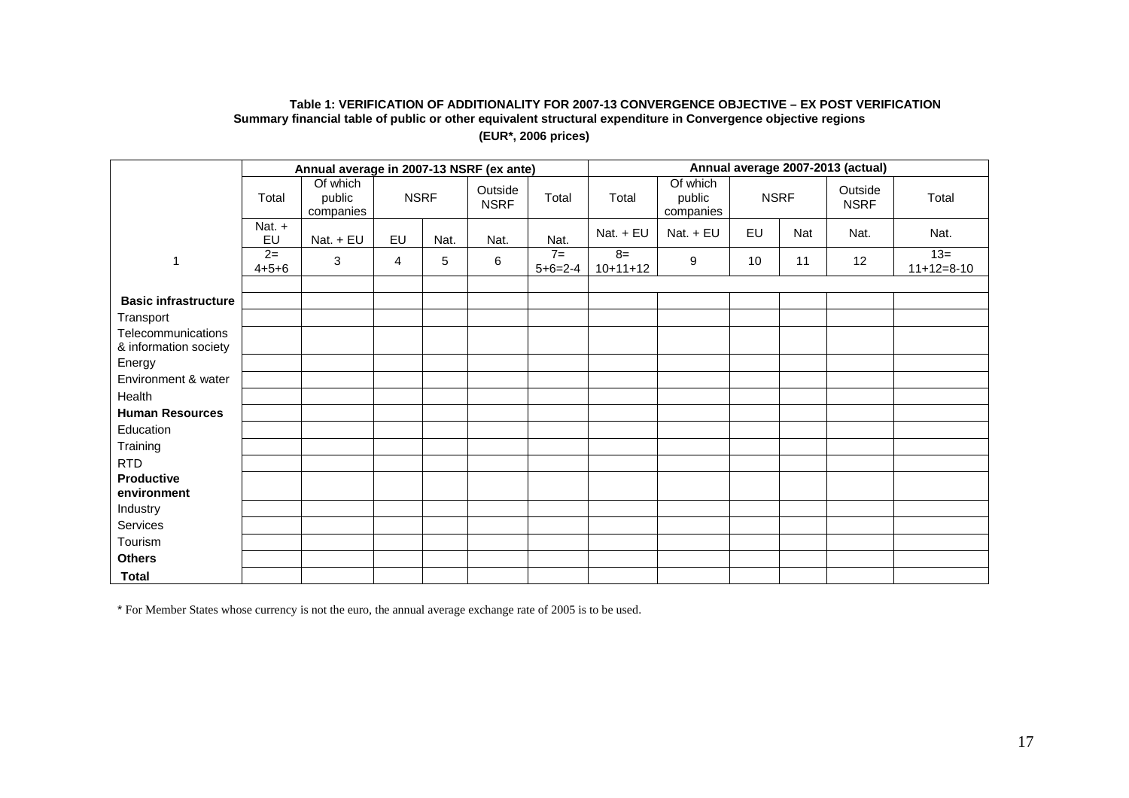#### **Table 1: VERIFICATION OF ADDITIONALITY FOR 2007-13 CONVERGENCE OBJECTIVE – EX POST VERIFICATION Summary financial table of public or other equivalent structural expenditure in Convergence objective regions (EUR\*, 2006 prices)**

|                                             |                     | Annual average in 2007-13 NSRF (ex ante) |             |      |                        |                   | Annual average 2007-2013 (actual) |                                 |    |             |                        |                       |
|---------------------------------------------|---------------------|------------------------------------------|-------------|------|------------------------|-------------------|-----------------------------------|---------------------------------|----|-------------|------------------------|-----------------------|
|                                             | Total               | Of which<br>public<br>companies          | <b>NSRF</b> |      | Outside<br><b>NSRF</b> | Total             | Total                             | Of which<br>public<br>companies |    | <b>NSRF</b> | Outside<br><b>NSRF</b> | Total                 |
|                                             | Nat. +<br>EU        | Nat. + EU                                | EU          | Nat. | Nat.                   | Nat.              | Nat. + EU                         | Nat. + EU                       | EU | Nat         | Nat.                   | Nat.                  |
| $\overline{1}$                              | $2=$<br>$4 + 5 + 6$ | $\mathbf{3}$                             | 4           | 5    | 6                      | $7=$<br>$5+6=2-4$ | $8=$<br>$10+11+12$                | 9                               | 10 | 11          | 12                     | $13=$<br>$11+12=8-10$ |
|                                             |                     |                                          |             |      |                        |                   |                                   |                                 |    |             |                        |                       |
| <b>Basic infrastructure</b>                 |                     |                                          |             |      |                        |                   |                                   |                                 |    |             |                        |                       |
| Transport                                   |                     |                                          |             |      |                        |                   |                                   |                                 |    |             |                        |                       |
| Telecommunications<br>& information society |                     |                                          |             |      |                        |                   |                                   |                                 |    |             |                        |                       |
| Energy                                      |                     |                                          |             |      |                        |                   |                                   |                                 |    |             |                        |                       |
| Environment & water                         |                     |                                          |             |      |                        |                   |                                   |                                 |    |             |                        |                       |
| Health                                      |                     |                                          |             |      |                        |                   |                                   |                                 |    |             |                        |                       |
| <b>Human Resources</b>                      |                     |                                          |             |      |                        |                   |                                   |                                 |    |             |                        |                       |
| Education                                   |                     |                                          |             |      |                        |                   |                                   |                                 |    |             |                        |                       |
| Training                                    |                     |                                          |             |      |                        |                   |                                   |                                 |    |             |                        |                       |
| <b>RTD</b>                                  |                     |                                          |             |      |                        |                   |                                   |                                 |    |             |                        |                       |
| <b>Productive</b><br>environment            |                     |                                          |             |      |                        |                   |                                   |                                 |    |             |                        |                       |
| Industry                                    |                     |                                          |             |      |                        |                   |                                   |                                 |    |             |                        |                       |
| Services                                    |                     |                                          |             |      |                        |                   |                                   |                                 |    |             |                        |                       |
| Tourism                                     |                     |                                          |             |      |                        |                   |                                   |                                 |    |             |                        |                       |
| <b>Others</b>                               |                     |                                          |             |      |                        |                   |                                   |                                 |    |             |                        |                       |
| <b>Total</b>                                |                     |                                          |             |      |                        |                   |                                   |                                 |    |             |                        |                       |

\* For Member States whose currency is not the euro, the annual average exchange rate of 2005 is to be used.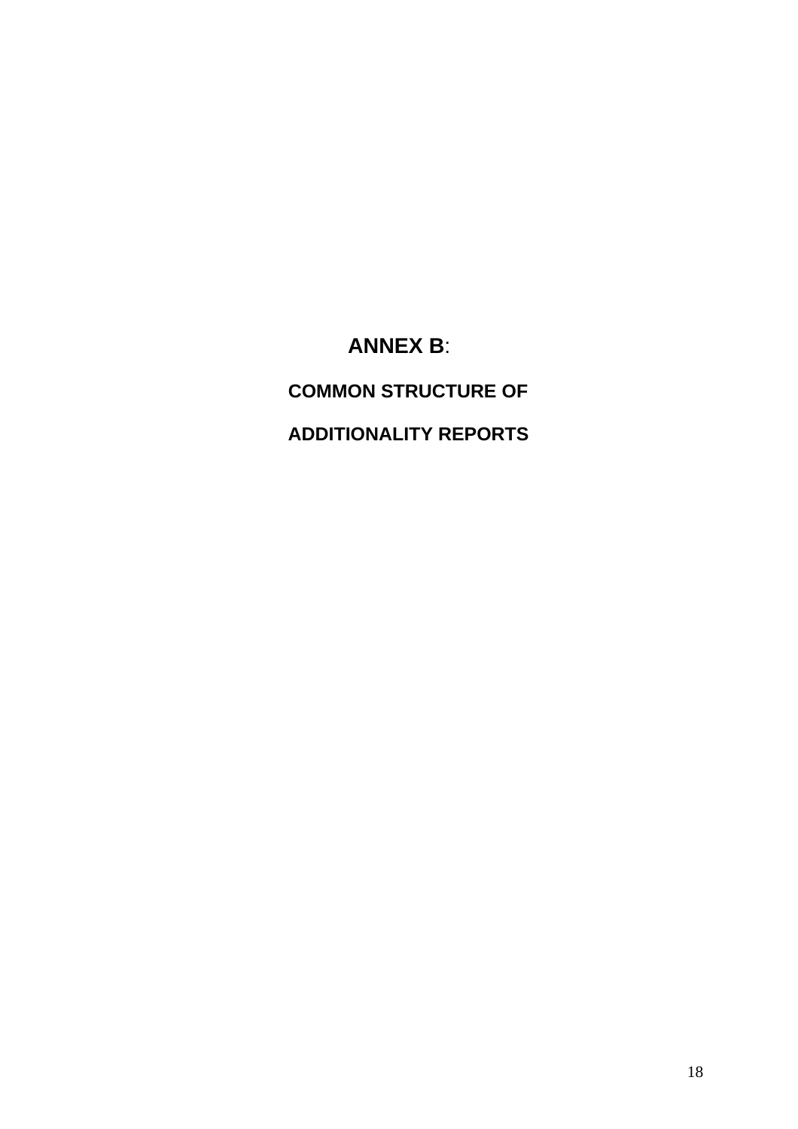# **ANNEX B**:

<span id="page-17-0"></span>**COMMON STRUCTURE OF** 

 **ADDITIONALITY REPORTS**